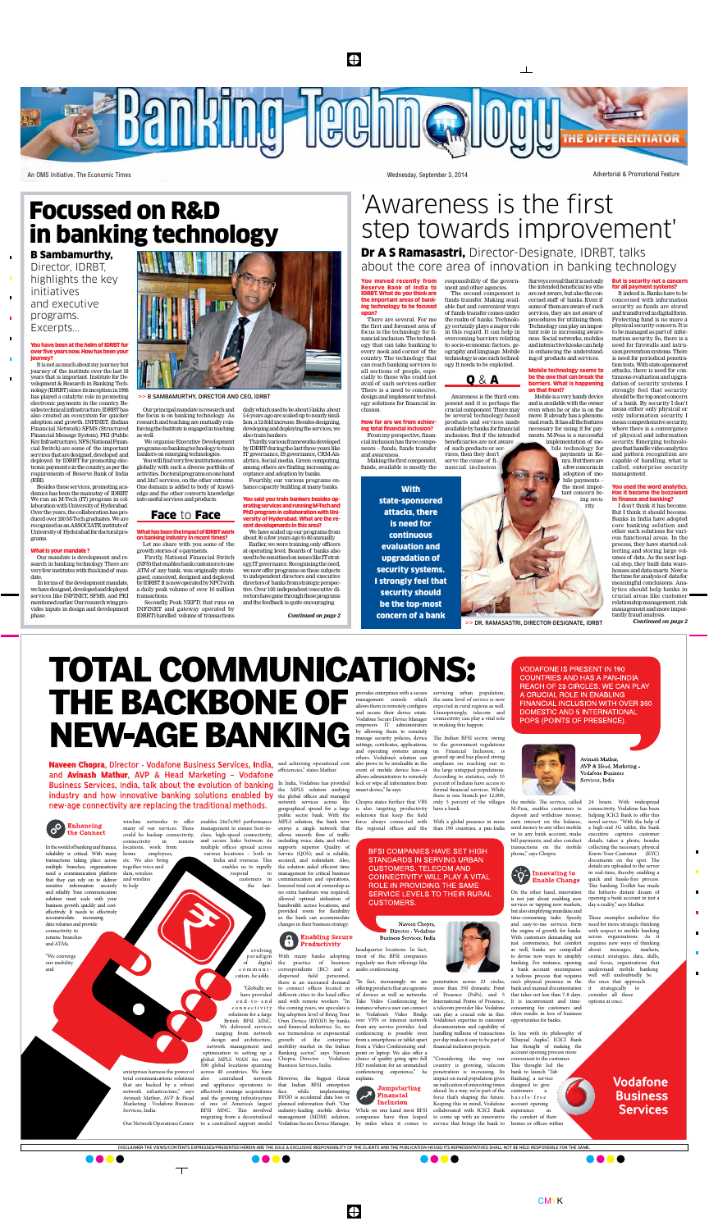$\bigoplus$ 

**Banking Toohnalo** THE DIFFERENTIATOR

An OMS Initiative, The Economic Times **Wednesday, September 3, 2014** Wednesday, September 3, 2014 Advertorial & Promotional Feature

In the world of banking and finance, reliability is critical. With many transactions taking place across multiple branches, organisations need a communication platform that they can rely on to deliver sensitive information securely and reliably. Your communication solution must scale with your business growth quickly and costeffectively. It needs to effectively accommodate increasing data volumes and provide connectivity to remote branches and ATMs. together voice and data, wireless and wireline to help

"We converge our mobility and

wireline networks to offer enables 24x7x365 performance MPLS solution, the bank now many of our services. These management to ensure best-incould be backup connectivity, class, high-speed connectivity, connectivity in remote locations, work from home employees, etc. We also bring and secure links between its multiple offices spread across various locations – both in India and overseas. This

Services, India.

enables us to rapidly respond to customers in the fast-

enterprises harness the power of total communications solutions also centralised network that are backed by a robust network infrastructure," says Avinash Mathur, AVP & Head Marketing - Vodafone Business across 40 countries. We have and appliance operations to effectively manage acquisitions and the growing infrastructure of one of America's largest BFSI MNC. This involved migrating from a decentralised

Our Network Operations Centre to a centralised support model

 $\top$ 

## **TOTAL COMMUNICATIONS:** provides enterprises with a secure management console which allows them to remotely configure and secure their device estate. Vodafone Secure Device Manager **NEW-AGE BANKING** empowers IT administrators by allowing them to remotely manage security policies, device settings, certificates, applications, and operating systems among

Naveen Chopra, Director - Vodafone Business Services, India, and achieving operational cost and **Avinash Mathur**, AVP & Head Marketing - Vodafone Business Services, India, talk about the evolution of banking In India, Vodafone has provided industry and how innovative banking solutions enabled by the global offices and managed new-age connectivity are replacing the traditional methods.



efficiencies," states Mathur.

evolving paradigm of digital communication, he adds. "Globally, we With many banks adopting the practice of business correspondents (BC) and a dispersed field personnel, there is an increased demand to connect offices located in

have provided e n d - t o - e n d c o n n e c t i v i t y solutions for a large British BFSI MNC. We delivered services ranging from network design and architecture, network management and optimisation to setting up a global MPLS WAN for over 500 global locations spanning different cities to the head office and with remote workers. "In the coming years, we speculate a big adoption level of Bring Your Own Device (BYOD) by banks and financial industries. So, we see tremendous or exponential growth of the enterprise mobility market in the Indian Banking sector," says Naveen Chopra, Director - Vodafone Business Services, India.

the MPLS solution unifying network services across the geographical spread for a large public sector bank. With the enjoys a single network that allows smooth flow of traffic including voice, data, and video; supports superior Quality of Service (QOS); and is reliable, secured, and redundant. Also, the solution aided efficient time management for critical business communication and operations, lowered total cost of ownership as no extra hardware was required, allowed optimal utilisation of bandwidth across locations, and provided room for flexibility so the bank can accommodate changes in their business strategy.

## **Enabling Secure** Productivity

or to any bank account, make bill payments, and also conduct transactions on the mobile phone," says Chopra.  $\left(\bigcirc^2\right)$  Innovating to **Enable Change** 



However, the biggest threat that Indian BFSI enterprises<br>face while implementing face while implementing BYOD is accidental data loss or

others. Vodafone's solution can also prove to be invaluable in the event of mobile device loss—it allows administrators to remotely lock or wipe all information from smart device," he says.

Chopra states further that VBS is also targeting productivity solutions that keep the field

planned information theft. "Our industry-leading mobile device management (MDM) solution, Vodafone Secure Device Manager, While on one hand most BFSI by miles when it comes to

headquarter locations. In fact, most of the BFSI companies regularly use their offerings like audio conferencing.

**You moved recently from** responsibility of the govern-Reserve Bank of India to IDRBT. What do you think are the important areas of banking technology to be focused upon?

"In fact, increasingly we are offering products that are agnostic of devices as well as networks. Take Video Conferencing for instance where a user can connect to Vodafone's Video Bridge over VPN or Internet network from any service provider. And conferencing is possible even from a smartphone or tablet apart from a Video Conferencing endpoint or laptop. We also offer a HD resolution for an unmatched

**Jumpstarting Financial Inclusion** 



conferencing experience," he explains.



force always connected with the regional offices and the than 190 countries, a pan-India

servicing urban population, the same level of service is now expected in rural regions as well. Unsurprisingly, telecom and connectivity can play a vital role in making this happen.

The Indian BFSI sector, owing to the government regulations on Financial Inclusion, is geared up and has placed strong emphasis on reaching out to the large untapped populations. According to statistics, only 35 percent of Indians have access to formal financial services. While there is one branch per 12,000, only 5 percent of the villages

have a bank.

BFSI COMPANIES HAVE SET HIGH **STANDARDS IN SERVING URBAN CUSTOMERS. TELECOM AND CONNECTIVITY WILL PLAY A VITAL** ROLE IN PROVIDING THE SAME SERVICE LEVELS TO THEIR RURAL **CUSTOMERS.** 

Naveen Chopra. Director - Vodafone Business Services, India

With a global presence in more

companies have thus leaped to come up with an innovative

### You have been at the helm of IDRBT for over five years now. How has been your iourney?

 $\blacksquare$ 

penetration across 23 circles, more than 350 domestic Point of Presence (PoPs), and 5 International Points of Presence, It is inconvenient and timea telecom provider like Vodafone can play a crucial role in this. Vodafone's expertise in customer documentation and capability of handling millions of transactions per day makes it easy to be part of financial inclusion projects. a tedious process that requires one's physical presence in the bank and manual documentation that takes not less than 7-8 days. consuming for customers and often results in loss of business

is not just about enabling new services or tapping new markets, but also simplifying mundane and time-consuming tasks. Speedy

"Considering the way our country is growing, telecom penetration is increasing. Its **impact on rural population gives** an indication of interesting times ahead. In a way, we're part of the force that's shaping the future. Keeping this in mind, Vodafone collaborated with ICICI Bank service that brings the bank to customers a h a s s l e - f r e e account opening experience the comfort of their homes or offices within

**VODAFONE IS PRESENT IN 190 COUNTRIES AND HAS A PAN-INDIA** REACH OF 23 CIRCLES. WE CAN PLAY A CRUCIAL ROLE IN ENABLING FINANCIAL INCLUSION WITH OVER 350 **DOMESTIC AND 5 INTERNATIONAL** POPS (POINTS OF PRESENCE).



the engine of growth for banks.

just convenience, but comfort as well, banks are compelled

Avinash Mathur, AVP & Head, Marketing -**Vodafone Business** Services, India

the mobile. The service, called M-Pesa, enables customers to deposit and withdraw money, earn interest on the balance, send money to any other mobile On the other hand, innovation 24 hours. With widespread connectivity, Vodafone has been helping ICICI Bank to offer this novel service. "With the help of a high-end 3G tablet, the bank executive captures customer details, takes a photo, besides collecting the necessary, physical Know-Your-Customer (KYC) documents on the spot. The details are uploaded to the server in real-time, thereby enabling a quick and hassle-free process. This banking Toolkit has made the hitherto distant dream of

opportunities for banks. In line with its philosophy of 'Khayaal Aapka", ICICI Bank has thought of making the account opening process more convenient to the customer. This thought led the bank to launch 'Tab Banking', a service designed to give



**Vodafone Business Services** 

 $\bullet$ 

and easy-to-use services form With customers demanding not to devise new ways to simplify banking. For instance, opening a bank account encompasses These examples underline the need for more strategic thinking with respect to mobile banking across organisations. As it requires new ways of thinking about messages, markets, contact strategies, data, skills, and focus, organisations that understand mobile banking well will undoubtedly be the ones that approach it strategically to consider all these options at once.

### You said you train bankers besides operating services and running M-Tech and PhD program in collaboration with University of Hyderabad. What are the revelopments in this area?

opening a bank account in just a day a reality," says Mathur.

Dr A S Ramasastri, Director-Designate, IDRBT, talks about the core area of innovation in banking technology

**With** state-sponsored attacks, there is need for continuous evaluation and upgradation of security systems. I strongly feel that security should be the top-most concern of a bank

There are several. For me the first and foremost area of focus is the technology for financial inclusion. The technology that can take banking to every nook and corner of the country. The technology that can reach banking services to all sections of people, especially to those who could not avail of such services earlier. There is a need to conceive, design and implement technology solutions for financial in-

## clusion. How far are we from achieving total financial inclusion? From my perspective, finan-

cial inclusion has three components – funds, funds transfer and awareness. Making the first component,



ment and other agencies. The second component is funds transfer. Making available fast and convenient ways of funds transfer comes under the realm of banks. Technology certainly plays a major role in this regard. It can help in overcoming barriers relating to socio-economic factors, geography and language. Mobile technology is one such technology. It needs to be exploited.

Awareness is the third component and it is perhaps the crucial component. There may be several technology-based products and services made available by banks for financial inclusion. But if the intended

beneficiaries are not aware

of such products or services, then they don't serve the cause of financial inclusion.

Surveys reveal that it is not only the intended beneficiaries who are not aware, but also the concerned staff of banks. Even if some of them are aware of such services, they are not aware of procedures for utilising them. Technology can play an important role in increasing awareness. Social networks, mobiles and interactive kiosks can help in enhancing the understanding of products and services.

#### Mobile technology seems to be the one that can break the barriers. What is happening on that front?

Mobile is a very handy device and is available with the owner even when he or she is on the move. It already has a phenomenal reach. It has all the features necessary for using it for payments. M-Pesa is a successful

implementation of mobile technology for payments in Kenya. But there are a few concerns in adoption of mobile payments – the most important concern being security.

But is security not a concern for all payment systems?

It indeed is. Banks have to be concerned with information security as funds are stored and transferred in digital form. Protecting fund is no more a physical security concern. It is to be managed as part of information security. So, there is a

#### need for firewalls and intrusion prevention systems. There is need for periodical penetration tests. With state-sponsored attacks, there is need for continuous evaluation and upgradation of security systems. I strongly feel that security should be the top-most concern of a bank. By security I don't mean either only physical or only information security. I mean comprehensive security, where there is a convergence of physical and information security. Emerging technologies that handle video analytics and pattern recognition are

capable of handling, what is called, enterprise security management. You used the word analytics. Has it become the buzzword in finance and banking?

I don't think it has become. But I think it should become. Banks in India have adopted core banking solution and other such solutions for various functional areas. In the process, they have started collecting and storing large volumes of data. As the next logical step, they built data warehouses and data-marts. Now is the time for analysis of data for meaningful conclusions. Analytics should help banks in crucial areas like customer relationship management, risk management and more importantly fraud analysis.

*Continued on page 2*

It is not as much about my journey but journey of the institute over the last 18 years that is important. Institute for Development & Research in Banking Technology (IDRBT) since its inception in 1996 has played a catalytic role in promoting electronic payments in the country. Besides technical infrastructure, IDRBT has also created an ecosystem for quicker adoption and growth. INFINET, (Indian Financial Network) SFMS (Structured Financial Message System), PKI (Public Key Infrastructure), NFS (National Financial Switch) are some of the important services that are designed, developed and deployed by IDRBT for promoting electronic payment s in the country, as per the requirements of Reserve Bank of India (RBI).

Besides these services, promoting academics has been the mainstay of IDRBT. We run an M-Tech (IT) program in collaboration with University of Hyderabad. Over the years, the collaboration has produced over 200 M-Tech graduates. We are recognised as an ASSOCIATE institute of University of Hyderabad for doctoral programs.

### What is your mandate ?

Our mandate is development and research in banking technology. There are very few institutes with this kind of mandate.

 In terms of the development mandate, we have designed, developed and deployed services like INFINET, SFMS, and PKI mentioned earlier. Our research wing provides inputs in design and development phase.



Our principal mandate is research and the focus is on banking technology. As research and teaching are mutually reinforcing the Institute is engaged in teaching as well.

 We organise Executive Development programs on banking technology to train bankers on emerging technologies.

You will find very few institutions even globally with such a diverse portfolio of activities. Doctoral programs on one hand and 24x7 services, on the other extreme. One domain is added to body of knowledge and the other converts knowledge into useful services and products.

What has been the impact of IDRBT work on banking industry in recent times? Let me share with you some of the

growth stories of e-payments. Firstly, National Financial Switch (NFS) that enables bank customers to use ATM of any bank, was originally strategised, conceived, designed and deployed by IDRBT. It is now operated by NPCI with

a daily peak volume of over 10 million

transactions. Secondly, Peak NEFT( that runs on INFINET and gateway operated by IDRBT) handled volume of transactions

daily which used to be about 5 lakhs about 5-6 years ago are scaled up to nearly 6million, a 12-fold increase. Besides designing, developing and deploying the services, we also train bankers.

Thirdly, various frameworks developed by IDRBT during the last three years like IT governance, IS governance, CRM-Analytics, Social media, Green computing, among others are finding increasing acceptance and adoption by banks.

Fourthly, our various programs enhance capacity building at many banks.

We have scaled up our programs from about 30 a few years ago to 80 annually.

Earlier, we were training only officers at operating level. Boards of banks also need to be sensitised on issues like IT strategy, IT governance. Recognising the need, we now offer programs on these subjects to independent directors and executive directors of banks from strategic perspective. Over 100 independent/executive directors have gone through these programs and the feedback is quite encouraging.

*Continued on page 2*

## Focussed on R&D in banking technology

## 'Awareness is the first step towards improvement'

 $\Box$ 

## Face to Face



B Sambamurthy, Director, IDRBT, highlights the key initiatives and executive programs. Excerpts...

>> B Sambamurthy, director and ceo, IDRBT

>> Dr. ramasastri, director-designate, IDRBT



 $\bigoplus$ 

**CMYK**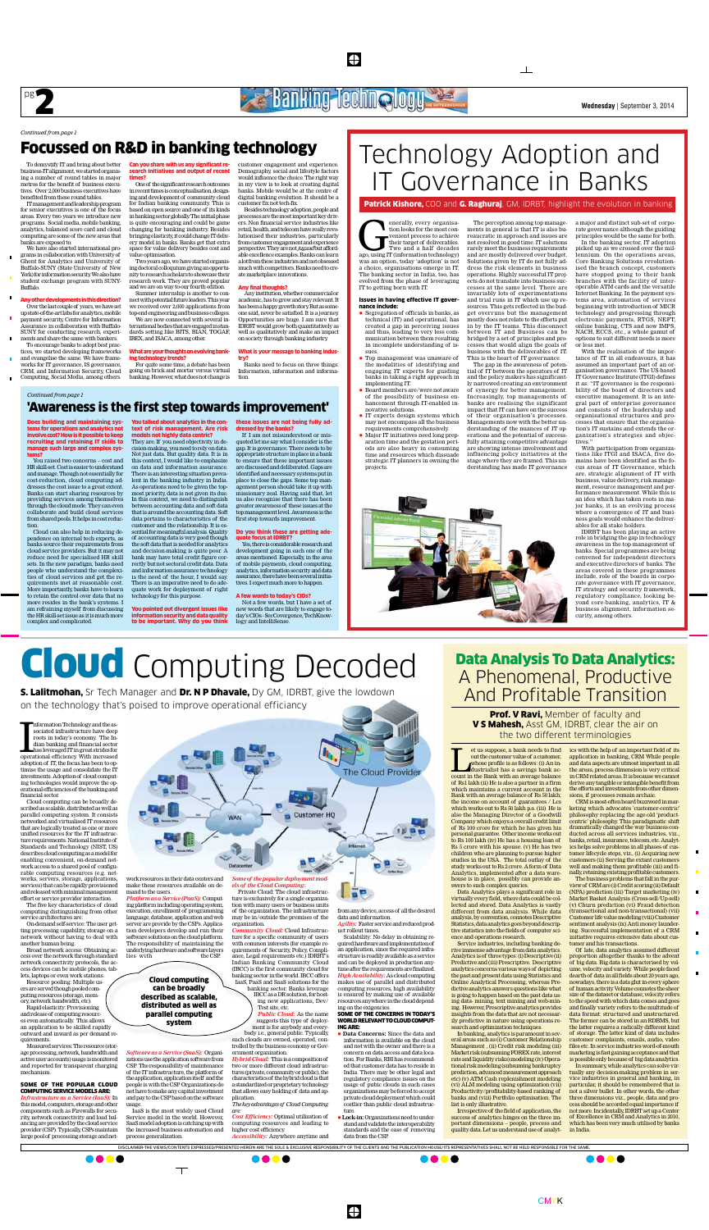## **PER BANKING ICCING OUT A RELATION OF A RELATIONS AND RELATIONS OF A RELATIONS OF A RELATIONS OF A RELATIONS OF A RELATIONS OF A RELATIONS OF A RELATIONS OF A RELATIONS OF A RELATIONS OF A RELATIONS OF A RELATIONS OF A REL**

 $\bigoplus$ 



Information Technology and the associated infrastructure have deep roots in today's economy. The Indian banking and financial sector has leveraged IT in great strides for operational efficiency. With increased nformation Technology and the associated infrastructure have deep roots in today's economy. The Indian banking and financial sector has leveraged IT in great strides for adoption of IT, the focus has been to optimise the usage and consolidate the IT investments. Adoption of cloud computing technologies would improve the operational efficiencies of the banking and financial sector.

Cloud computing can be broadly described as scalable, distributed as well as parallel computing system. It consists networked and virtualised IT resources that are logically treated as one or more unified resources for the IT infrastructure requirements. National Institute of Standards and Technology (NIST, US) describes cloud computing as a model for enabling convenient, on-demand network access to a shared pool of configurable computing resources (e.g. networks, servers, storage, applications, services) that can be rapidly provisioned and released with minimal management effort or service provider interaction.

The five key characteristics of cloud computing distinguishing from other service architectures are:

*Platform as a Service (PaaS):* Computing platform including operating system, execution, enrollment of programming language, database, application and web server are provide by the CSPs. Application developers develop and run their software solutions on the cloud platform. The responsibility of maintaining the underlying hardware and software layers<br>lies with the CSP. lies with

On-demand self-service: The user getting processing capability, storage on a network without having to deal with another human being.

Broad network access: Obtaining access over the network through standard network connectivity protocols, the access devices can be mobile phones, tablets, laptops or even work stations.

Resource pooling: Multiple users are served though pooled computing resources (storage, memory, network bandwidth, etc).

Rapid elasticity: Provisioning and release of computing resources even automatically. This allows an application to be skilled rapidly outward and inward as per demand requirements.

Measured services: The resource (storage processing, network, bandwidth and active user accounts) usage is monitored and reported for transparent charging mechanism.

#### Some of the popular cloud computing service models are: *Infrastructure as a Service (IaaS):* In

this model, computers, storage and other components such as Firewalls for security, network connectivity and load balancing are provided by the cloud service provider (CSP). Typically, CSPs maintain large pool of processing storage and netmake these resources available on demand to the users.



*Software as a Service (SaaS):* Organizations use the application software from CSP. The responsibility of maintenance of the IT infrastructure, the platform of the application, application itself and the people is with the CSP. Organizations do not have to make any capital investment and pay to the CSP based on the software usage.

IaaS is the most widely used Cloud Service model in the world. However, SaaS model adoption is catching up with the increased business automation and process generalization.

 $\top$ 

## *els of the Cloud Computing:*

et us suppose, a bank needs to find<br>
out the customer value of a customer,<br>
whose profile is as follows: (i) An in-<br>
dustrialist has a savings bank ac-<br>
count in the Bank with an average balance out the customer value of a customer, whose profile is as follows: (i) An industrialist has a savings bank acof Rs1 lakh (ii) He is also a partner in a firm which maintains a current account in the Bank with an average balance of Rs 50 lakh; the income on account of guarantees / Lcs which works out to Rs 50 lakh p.a. (iii) He is also the Managing Director of a Goodwill Company which enjoys a overall credit limit of Rs 100 crore for which he has given his personal guarantee. Other income works out to Rs 100 lakh (iv) He has a housing loan of Rs 5 crore with his spouse. (v) He has two children who are planning to pursue higher studies in the USA. The total outlay of the study works out to Rs 2 crore. A form of Data Analytics, implemented after a data warehouse is in place, possibly can provide answers to such complex queries.

Private Cloud: The cloud infrastructure is exclusively for a single organization with many users or business units of the organization. The infrastructure may be in/outside the premises of the organization.

*Community Cloud:* Cloud Infrastructure for a specific community of users with common interests (for example requirements of Security, Policy, Compliance, Legal requirements etc.) IDRBT's Indian Banking Community Cloud (IBCC) is the first community cloud for banking sector in the world. IBCC offers IaaS, PaaS and SaaS solutions for the banking sector. Banks leverage IBCC as a DR solution, for host-

ing new applications, Dev/ Test site, etc. *Public Cloud:* As the name suggests this type of deploy-

ment is for anybody and everybody i.e., general public. Typically, such clouds are owned, operated, controlled by the business economy or Gov-

ernment organization. *Hybrid Cloud:* This is a composition of two or more different cloud infrastructures (private, community or public), the characteristics of the hybrid cloud is that a standardized or proprietary technology that allows easy holding of data and application.

*The key advantages of Cloud Computing are:*

*Cost Efficiency:* Optimal utilization of computing resources and leading to higher cost efficiency.

*Accessibility:* Anywhere anytime and

## from any device, access of all the desired data and information. *Agility:* Faster service and reduced product rollout times.

Scalability: No delay in obtaining required hardware and implementation of an application, since the required infrastructure is readily available as a service and can be deployed in production anytime after the requirements are finalized. *High Availability:* As cloud computing makes use of parallel and distributed computing resources, high availability is ensured by making use of available resources anywhere in the cloud depending on the exigencies.

#### Some of the concerns in today's WORLD RELEVANT TO CLOUD COMPUTing are:

l **Data Concerns:** Since the data and information is available on the cloud and not with the owner and there is a concern on data access and data location. For Banks, RBI has recommended that customer data has to reside in India. There may be other legal and regulatory compliance issues on the usage of pubic clouds in such cases organizations may be forced to accept private cloud deployment which could costlier than public cloud infrastruc-

Prof. V Ravi, Member of faculty and V S Mahesh, Asst GM, IDRBT, clear the air on the two different terminologies

ture. l**Lock-in:** Organizations need to understand and validate the interoperability standards and the ease of removing data from the CSP.

 $\bigoplus$ 

We have also started international programs in collaboration with University of Ghent for Analytics and University of Buffalo-SUNY (State University of New York) for information security. We also have student exchange program with SUNY-Buffalo.

> Data Analytics plays a significant role in virtually every field, where data could be collected and stored. Data Analytics is vastly different from data analysis. While data analysis, by convention, connotes Descriptive Statistics, data analytics goes beyond descriptive statistics into the fields of computer science and operations research.

> Service industries, including banking derive immense advantage from data analytics. Analytics is of three types: (i) Descriptive (ii) Predictive and (iii) Prescriptive. Descriptive analytics concerns various ways of depicting the past and present data using Statistics and Online Analytical Processing, whereas Predictive analytics answers questions like what is going to happen based on the past data using data- mining, text mining and web-mining. However, Prescriptive analytics provides insights from the data that are not necessarily predictive in nature using operations research and optimization techniques.

enerally, every organisation looks for the most convenient process to achieve their target of deliverables.<br>Two and a half decades ago, using IT (information technology) tion looks for the most convenient process to achieve their target of deliverables. Two and a half decades was an option, today 'adoption' is not a choice, organisations emerge in IT. The banking sector in India, too, has evolved from the phase of leveraging IT to getting born with IT.

> In banking, analytics is paramount in several areas such as (i) Customer Relationship Management , (ii) Credit risk modeling (iii) Market risk (subsuming FOREX rate, interest rate and liquidity risks) modeling (iv) Operational risk modeling (subsuming bankruptcy prediction, advanced measurement approach etc) (v) ATM Cash replenishment modeling (vi) ALM modeling using optimization (vii) Productivity/profitability-based ranking of banks and (viii) Portfolio optimisation. The list is only illustrative.

- $\bullet$  Segregation of officials in banks, as technical (IT) and operational, has created a gap in perceiving issues and thus, leading to very less communication between them resulting in incomplete understanding of issues.
- Top management was unaware of the modalities of identifying and engaging IT experts for guiding banks in taking a right approach in implementing IT.
- Board members are/were not aware of the possibility of business enhancement through IT-enabled innovative solutions.  $\bullet$  IT experts design systems which
- may not encompass all the business requirements comprehensively. Major IT initiatives need long prep-
- aration time and the gestation periods are also heavy in consuming time and resources which dissuade strategic IT planners in owning the projects.

Irrespective of the field of application, the success of analytics hinges on the three important dimensions – people, process and quality data. Let us understand use of analytics with the help of an important field of its application in banking, CRM While people and data aspects are utmost important in all the areas, process dimension is very critical in CRM related areas. It is because we cannot derive any tangible or intangible benefit from the efforts and investments from other dimensions, if processes remain archaic.

CRM is most-often heard buzzword in marketing which advocates 'customer-centric' philosophy replacing the age-old 'productcentric' philosophy. This paradigmatic shift dramatically changed the way business conducted across all services industries, viz., banks, retail, insurance, telecom, etc. Analytics helps solve problems in all phases of customer lifecycle steps, viz., (i) Acquiring new customers (ii) Serving the extant customers well and making them profitable (iii) and finally, retaining existing profitable customers.

With the realisation of the importance of IT in all endeavours, it has assumed an important part of an organisation governance. The US-based IT Governance Institute (ITGI) defines it as: "IT governance is the responsibility of the board of directors and executive management. It is an integral part of enterprise governance and consists of the leadership and organisational structures and processes that ensure that the organisation's IT sustains and extends the organization's strategies and objectives.

The business problems that fall in the purview of CRM are (i) Credit scoring (ii) Default (NPA) prediction (iii) Target marketing (iv) Market Basket Analysis (Cross-sell/Up-sell) (v) Churn prediction (vi) Fraud detection (transactional and non-transactional) (vii) Customer life value modeling (viii) Customer sentiment analysis (ix) Anti money laundering. Successful implementation of a CRM initiative requires extensive data about customer and his transactions.

Of late, data analytics assumed different proportion altogether thanks to the advent of big data. Big data is characterised by volume, velocity and variety. While people faced dearth of data in all fields about 20 years ago, nowadays, there is a data glut in every sphere of human activity. Volume connotes the sheer size of the dataset or database; velocity refers to the speed with which data comes and goes and finally variety refers to the multitude of data format: structured and unstructured. The former can be stored in an RDBMS, but the latter requires a radically different kind of storage. The latter kind of data includes customer complaints, emails, audio, video files etc. In service industries word-of-mouth marketing is fast gaining acceptance and that is possible only because of big data analytics.

In summary, while analytics can solve virtually any decision-making problem in service industries in general and banking, in particular, it should be remembered that is not a silver bullet. In other words, the other three dimensions viz., people, data and process should be accorded equal importance if not more. Incidentally, IDRBT set up a Center of Excellence in CRM and Analytics in 2010, which has been very much utilised by banks in India.

## Data Analysis To Data Analytics: A Phenomenal, Productive And Profitable Transition

To demystify IT and bring about better business-IT alignment, we started organising a number of round tables in major metros for the benefit of business executives. Over 2,000 business executives have benefited from these round tables.

> Not a few words, but I have a set of new words that are likely to engage today's CIOs - SecCovergence, TechKnowlogy and IntelliSense.

IT management and leadership program for senior executives is one of the focus areas. Every two years we introduce new programs. Social media, mobile banking, analytics, balanced score card and cloud computing are some of the new areas that banks are exposed to.

**S. Lalitmohan,** Sr Tech Manager and **Dr. N P Dhavale,** Dy GM, IDRBT, give the lowdown on the technology that's poised to improve operational efficiancy

### Any other developments in this direction? Over the last couple of years, we have set up state-of-the-art labs for analytics, mobile payment security, Centre for Information

Assurance in collaboration with Buffalo-SUNY for conducting research, experiments and share the same with bankers. To encourage banks to adopt best practices, we started developing frameworks

and evangelise the same. We have frameworks for IT governance, IS governance, CRM, and Information Security, Cloud Computing, Social Media, among others.

Can you share with us any significant research initiatives and output of recent times?

One of the significant research outcomes in recent times is conceptualisation, designing and development of community cloud for Indian banking community. This is based on open source and one of its kinds in banking sector globally. The initial phase is quite encouraging and could be game changing for banking industry. Besides bringing elasticity, it could change IT delivery model in banks. Banks get that extra space for value delivery besides cost and value optimisation.

Two years ago, we have started organising doctoral colloquium giving an opportunity to research scholars to showcase their research work. They are proved popular and we are on way to our fourth edition. Summer internship is another to connect with potential future leaders. This year we received over 2,000 applications from top-end engineering and business colleges. We are now connected with several international bodies that are engaged in standards setting like BITS, BIAN, TOGAF, IBEX, and ISACA, among other.

### What are your thoughts on evolving banking technology trends?

For quite some time, a debate has been going on brick and mortar versus virtual banking. However, what does not change is

customer engagement and experience. Demography, social and lifestyle factors would influence the choice. The right way in my view is to look at creating digital banks. Mobile would be at the centre of digital banking evolution. It should be a customer fix not tech-fix.

Besides technology adoption, people and processes are the most important key drivers. Non financial service industries like retail, health, and telecom have really revolutionised their industries, particularly from customer engagement and experience perspective. They are not jugaad but affordable excellence examples. Banks can learn a lot from these industries and not obsessed much with competitors. Banks need to create marketplace innovations.

## Any final thoughts?

Any institution, whether commercial or academic, has to grow and stay relevant. It has been a happy growth story. But as someone said, never be satisfied. It is a journey. Opportunities are huge. I am sure that IDRBT would grow both quantitatively as well as qualitatively and make an impact on society through banking industry.

#### What is your message to banking industry?

Banks need to focus on three things: Information, information and information.

## Focussed on R&D in banking technology

## *Continued from page 1*

## Issues in having effective IT governance include:



ly narrowed creating an environment of synergy for better management. Increasingly, top managements of banks are realising the significant impact that IT can have on the success of their organisation's processes. Managements now with the better understanding of the nuances of IT operations and the potential of successfully attaining competitive advantage are showing intense involvement and influencing policy initiatives at the stage where they are framed. This understanding has made IT governance

a major and distinct sub-set of corporate governance although the guiding principles would be the same for both.

In the banking sector, IT adoption picked up as we crossed over the millennium. On the operations areas, Core Banking Solutions revolutionised the branch concept, customers have stopped going to their bank branches with the facility of interoperable ATM cards and the versatile Internet Banking. In the payment systems area, automation of services beginning with introduction of MICR technology and progressing through electronic payments, RTGS, NEFT, online banking, CTS and now IMPS, NACH, ECCS, etc., a whole gamut of options to suit different needs is more or less met.

With participation from organizations like ITGI and ISACA, five domains have been identified as the focus areas of IT Governance, which are, strategic alignment of IT with business, value delivery, risk management, resource management and performance measurement. While this is an idea which has taken roots in major banks, it is an evolving process where a convergence of IT and business goals would enhance the deliverables for all stake holders.

IDRBT has been playing an active role in bridging the gap in technology awareness in the top management of banks. Special programmes are being convened for independent directors and executive directors of banks. The areas covered in these programmes include, role of the boards in corporate governance with IT governance, IT strategy and security framework, regulatory compliance, looking beyond core-banking, analytics, IT & business alignment, information security, among others.



 $\perp$ 

Patrick Kishore, COO and G. Raghuraj, GM, IDRBT, highlight the evolution in banking

## 'Awareness is the first step towards improvement'

Does building and maintaining systems for operations and analytics not involve cost? How is it possible to keep recruiting and retaining IT skills to manage such large and complex systems?

You raised two concerns – cost and HR skill-set. Cost is easier to understand and manage. Though not essentially for cost-reduction, cloud computing addresses the cost issue to a great extent. Banks can start sharing resources by providing services among themselves through the cloud mode. They can even collaborate and build cloud services from shared pools. It helps in cost reduction.

Cloud can also help in reducing dependence on internal tech experts, as banks source their requirements from cloud service providers. But it may not reduce need for specialised HR skill sets. In the new paradigm, banks need people who understand the complexities of cloud services and get the requirements met at reasonable cost. More importantly, banks have to learn to retain the control over data that no more resides in the bank's systems. I am refraining myself from discussing the HR skill-set issue as it is much more complex and complicated.

You talked about analytics in the context of risk management. Are risk models not highly data centric? They are. If you need objectivity in decision-making, you need to rely on data. Not just data. But quality data. It is in this context, I would like to emphasize on data and information assurance. There is an interesting situation prevalent in the banking industry in India. As operations need to be given the topmost priority, data is not given its due. In this context, we need to distinguish between accounting data and soft data that is around the accounting data. Soft data pertains to characteristics of the customer and the relationship. It is essential for meaningful analysis. Quality of accounting data is very good though the soft data that is needed for analytics and decision-making is quite poor. A bank may have total credit figure correctly but not sectoral credit data. Data and information assurance technology is the need of the hour, I would say. There is an imperative need to do adequate work for deployment of right

technology for this purpose.

You pointed out divergent issues like information security and data quality to be important. Why do you think these issues are not being fully addressed by the banks?

If I am not misunderstood or misquoted let me say what I consider is the gap. It is governance. There needs to be appropriate structure in place in a bank to ensure that these important issues are discussed and deliberated. Gaps are identified and necessary systems put in place to close the gaps. Some top management person should take it up with missionary zeal. Having said that, let us also recognise that there has been greater awareness of these issues at the top management level. Awareness is the first step towards improvement.

### Do you think these are getting adequate focus at IDRBT?

Yes, there is considerable research and development going in each one of the areas mentioned. Especially, in the area of mobile payments, cloud computing, analytics, information security and data assurance, there have been several initiatives. I expect much more to happen.

## A few words to today's CIOs?

*Continued from page 1*

# Cloud Computing Decoded

Cloud computing can be broadly described as scalable, distributed as well as parallel computing system

Disclaimer-The views/contents expressed/presented herein are the sole & exclusive responsibility of the clients and the publication house/its representatives shall not be held responsible for the same.

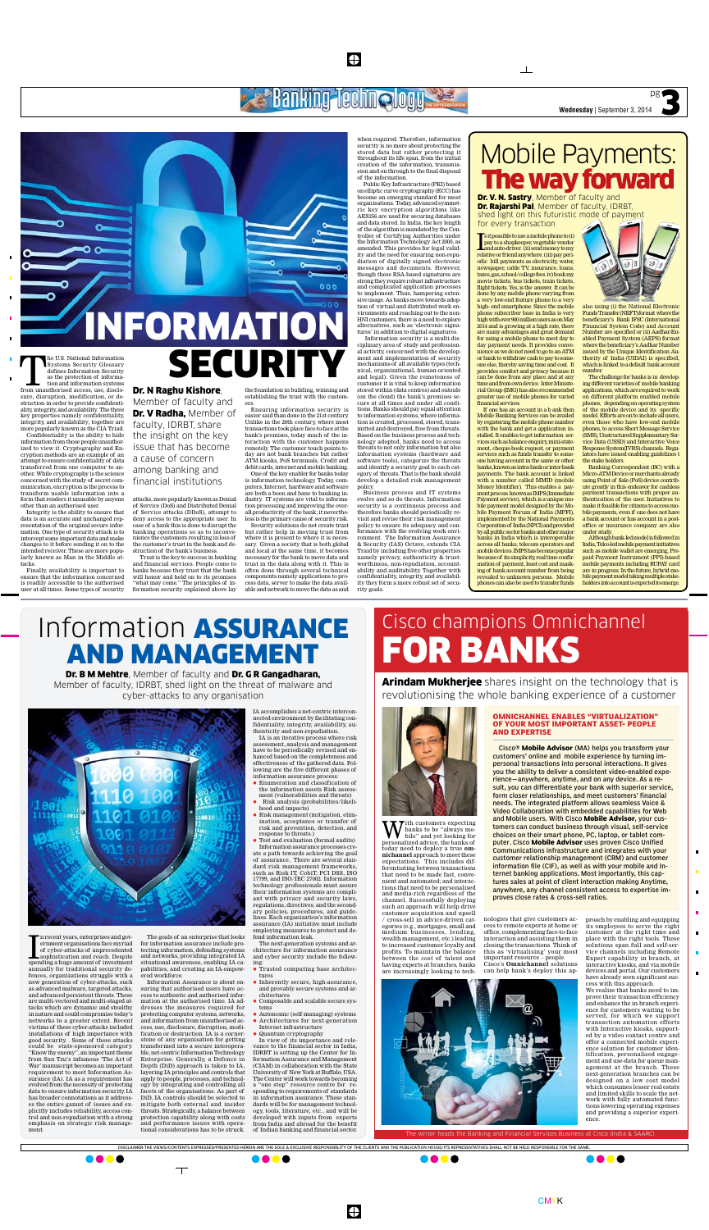Disclaimer-The views/contents expressed/presented herein are the sole & exclusive responsibility of the clients and the publication house/its representatives shall not be held responsible for the same.

 $\bigoplus$ 

W th customers expecting<br>bile" and yet looking for<br>personalized advice the banks of banks to be "always mopersonalized advice, the banks of today need to deploy a true **omnichannel** approach to meet these expectations. This includes differentiating between transactions that need to be made fast, convenient and automated; and interactions that need to be personalised and media-rich regardless of the channel. Successfully deploying such an approach will help drive customer acquisition and upsell / cross-sell in advice-driven categories (e.g., mortgages, small and medium businesses, lending, wealth management, etc.) leading to increased customer loyalty and profits. To maintain the balance between the cost of talent and having experts at branches, banks are increasingly looking to tech-



nologies that give customers access to remote experts at home or office, complementing face-to-face interaction and assisting them in closing the transactions. Think of this as 'virtualising' your most important resource – people. Cisco's **Omnichannel** solutions can help bank's deploy this ap-

The U.S. National Information Systems Security Glossary defines Information Security as the protection of information and information systems from unauthorised access, use, disclo-Systems Security Glossary defines Information Security as the protection of information and information systems sure, disruption, modification, or destruction in order to provide confidentiality, integrity, and availability. The three key properties namely confidentiality, integrity, and availability; together are more popularly known as the CIA Triad. Confidentiality is the ability to hide

> proach by enabling and equipping its employees to serve the right customer at the right time and place with the right tools. These solutions span full and self-service channels including Remote Expert capability in branch, at interactive kiosks, and via mobile devices and portal. Our customers have already seen significant success with this approach.

 $\blacksquare$ 

 $\blacksquare$ 

We realize that banks need to improve their transaction efficiency and enhance the in-branch experience for customers waiting to be served, for which we support transaction automation efforts with Interactive kiosks, supported by a video contact centre and offer a connected mobile experience solution for customer identification, personalised engagement and use-data for queue management at the branch. These next-generation branches can be designed on a low cost model which consumes lesser real estate and limited skills to scale the network with fully automated functions lowering operating expenses and providing a superior experience.

**Wednesday** | September 3, 2014

 $\frac{1}{4}$ 

information from those people unauthorized to view it. Cryptography and Encryption methods are an example of an attempt to ensure confidentiality of data transferred from one computer to another. While cryptography is the science concerned with the study of secret communication, encryption is the process to transform usable information into a form that renders it unusable by anyone other than an authorised user.

Integrity is the ability to ensure that data is an accurate and unchanged representation of the original secure information. One type of security attack is to intercept some important data and make changes to it before sending it on to the intended receiver. These are more popularly known as Man in the Middle attacks.

Finally, availability is important to ensure that the information concerned is readily accessible to the authorised user at all times. Some types of security attacks, more popularly known as Denial of Service (DoS) and Distributed Denial of Service attacks (DDoS), attempt to deny access to the appropriate user. In case of a bank this is done to disrupt the banking operations so as to inconvenience the customers resulting in loss of the customer's trust in the bank and destruction of the bank's business.

 Trust is the key to success in banking and financial services. People come to banks because they trust that the bank will honor and hold on to its promises "what may come." The principles of information security explained above lay

the foundation in building, winning and establishing the trust with the customers.

Ensuring information security is easier said than done in the 21st century. Unlike in the 20th century, where most transactions took place face-to-face at the bank's premises, today much of the interaction with the customer happens remotely. The customer touch points today are not bank branches but rather ATM kiosks, PoS terminals, Credit and debit cards, internet and mobile banking.

In recent years, enterprises and government organisations face myriad<br>of cyber-attacks of unprecedented<br>sophistication and reach. Despite<br>spending a huge amount of investment n recent years, enterprises and government organisations face myriad of cyber-attacks of unprecedented sophistication and reach. Despite annually for traditional security defences, organizations struggle with a new generation of cyber-attacks, such as advanced malware, targeted attacks, and advanced persistent threats. These are multi-vectored and multi-staged attacks which are dynamic and stealthy in nature and could compromise today's networks to a greater extent. Recent victims of these cyber-attacks included installations of high importance with good security. . Some of these attacks could be state-sponsored category. "Know thy enemy", an important theme from Sun Tzu's infamous 'The Art of War' manuscript becomes an important requirement to meet Information Assurance (IA). IA as a requirement has evolved from the necessity of protecting data to ensure information security. IA has broader connotations as it addresses the entire gamut of issues and explicitly includes reliability, access control and non-repudiation with a strong emphasis on strategic risk management.

One of the key enabler for banks today is information technology. Today, computers, Internet, hardware and software are both a boon and bane to banking industry. IT systems are vital to information processing and improving the overall productivity of the bank; it nevertheless is the primary cause of security risk.

Security solutions do not create trust but rather help in moving trust from where it is present to where it is necessary. Given a society that is both global and local at the same time, it becomes necessary for the bank to move data and trust in the data along with it. This is often done through several technical components namely applications to process data, server to make the data available and network to move the data as and when required. Therefore, information security is no more about protecting the stored data but rather protecting it throughout its life span, from the initial creation of the information, transmission and on through to the final disposal of the information. Public Key Infrastructure (PKI) based

 $\clubsuit$ 

**Banking lechn aloy** 

 $000$ 

000

- $\bullet$  Enumeration and classification of the information assets Risk assessment (vulnerabilities and threats)
- $\bullet$  Risk analysis (probabilities/likelihood and impacts)
- Risk management (mitigation, elimination, acceptance or transfer of risk and prevention, detection, and response to threats.)

 $\bullet$  Test and evaluation (formal audits) Information assurance processes create a path towards achieving the goal of assurance.. There are several standard risk management frameworks, such as Risk IT, CobiT, PCI DSS, ISO 17799, and ISO/IEC 27002. Information technology professionals must assure their information systems are compliant with privacy and security laws, regulations, directives, and the secondary policies, procedures, and guidelines. Each organization's information assurance (IA) initiative must include employing measures to protect and defend information leak.

on elliptic curve cryptography (ECC) has become an emerging standard for most organisations. Today, advanced symmetric key encryption algorithms like AES256 are used for securing databases and data stored. In India, the key length of the algorithm is mandated by the Controller of Certifying Authorities under the Information Technology Act 2000, as amended. This provides for legal validity and the need for ensuring non-repudiation of digitally signed electronic messages and documents. However, though these RSA-based signatures are strong they require robust infrastructure and complicated application processes to implement. Thus, hampering extensive usage. As banks move towards adoption of virtual and distributed work environments and reaching out to the non-HNI customers, there is a need to explore alternatives, such as 'electronic signatures' in addition to digital signatures.

s it possible to use a mobile phone to (i)<br>pay to a shopkeeper, vegetable vendor<br>and auto-driver. (ii) send money to my<br>relative or friend anywhere. (iii) pay peris it possible to use a mobile phone to (i) pay to a shopkeeper, vegetable vendor and auto-driver. (ii) send money to my odic bill payments as electricity, water, newspaper, cable TV, insurance, loans, taxes, gas, school/college fees. iv) book my movie tickets, bus tickets, train tickets, flight tickets. Yes, is the answer. It can be done by any mobile phone varying from a very low-end feature phone to a very high- end smartphone. Since the mobile phone subscriber base in India is very high with over 900 million users as on May 2014 and is growing at a high rate, there are many advantages and great demand for using a mobile phone to meet day to day payment needs. It provides convenience as we do not need to go to an ATM or bank to withdraw cash to pay to someone else, thereby saving time and cost. It provides comfort and privacy because it can be done from any place and at any time and from own device. Inter-Ministerial Group (IMG) has also recommended greater use of mobile phones for varied financial services.

 $\mathbb{R}$ 

 Information security is a multi-disciplinary area of study and professional activity, concerned with the development and implementation of security mechanisms of all available types (technical, organizational, human-oriented and legal). Given the remoteness of customer it is vital to keep information stored within (data centres) and outside (on the cloud) the bank's premises secure at all times and under all conditions. Banks should pay equal attention to information systems, where information is created, processed, stored, transmitted and destroyed, free from threats. Based on the business process and technology adopted, banks need to access threats to not only information but also information systems (hardware and software tools), categorize the threats and identify a security goal to each category of threats. That is the bank should develop a detailed risk management policy.

Business process and IT systems evolve and so do threats. Information security is a continuous process and therefore banks should periodically revisit and revise their risk management policy to ensure its adequacy and conformance with the evolving work environment. The Information Assurance & Security (IAS) Octave, extends CIA Traid by including five other properties namely privacy, authenticity & trustworthiness, non-repudiation, accountability and auditability. Together with confidentiality, integrity, and availability they form a more robust set of security goals.

## Dr. N Raghu Kishore,

NFORMATION

SECURITY

Member of faculty and Dr. V Radha, Member of faculty, IDRBT, share the insight on the key issue that has become a cause of concern among banking and financial institutions

## Cisco champions Omnichannel

# for Banks

The writer heads the Banking and Financial Services Business at Cisco (India & SAARC)

Dr. B M Mehtre, Member of faculty and Dr. G R Gangadharan, Member of faculty, IDRBT, shed light on the threat of malware and cyber-attacks to any organisation



Dr. V. N. Sastry, Member of faculty and **Dr. Rajarshi Pal**, Member of faculty, IDRBT, shed light on this futuristic mode of payment for every transaction

**Arindam Mukherjee** shares insight on the technology that is revolutionising the whole banking experience of a customer



The goals of an enterprise that looks for information assurance include protecting information, defending systems and networks, providing integrated IA situational awareness, enabling IA capabilities, and creating an IA-empowered workforce.

Information Assurance is about ensuring that authorised users have access to authentic and authorised information at the authorised time. IA addresses the measures required for protecting computer systems, networks, and information from unauthorised access, use, disclosure, disruption, modification or destruction. IA is a cornerstone of any organisation for getting transformed into a secure interoperable, net-centric Information Technology Enterprise. Generally, a Defence in Depth (DiD) approach is taken to IA, layering IA principles and controls that apply to people, processes, and technology by integrating and controlling all facets of the organisations. As part of DiD, IA controls should be selected to mitigate both external and insider threats. Strategically, a balance between protection capability along with costs and performance issues with operational considerations has to be struck.

 $\top$ 

IA accomplishes a net-centric interconnected environment by facilitating confidentiality, integrity, availability, authenticity and non-repudiation.

IA is an iterative process where risk assessment, analysis and management have to be periodically revised and enhanced based on the completeness and effectiveness of the gathered data. Following are the five different phases of information assurance process:

The next-generation systems and architecture for information assurance and cyber security include the following:

- l Trusted computing base architectures
- $\bullet$  Inherently secure, high-assurance, and provably secure systems and architectures
- l Composable and scalable secure systems
- Autonomic (self-managing) systems Architectures for next-generation
- Internet infrastructure
- l Quantum cryptography

In view of its importance and relevance to the financial sector in India, IDRBT is setting up the Center for Information Assurance and Management (CIAM) in collaboration with the State University of New York at Buffalo, USA. The Center will work towards becoming a "one stop" resource centre for responding to requirements of standards in information assurance. These standards will be for management technology, tools, literature, etc., and will be developed with inputs from experts from India and abroad for the benefit of Indian banking and financial sector.

## Information Assurance

## and Management

If one has an account in a b ank then Mobile Banking Services can be availed by registering the mobile phone number with the bank and get a application installed. It enables to get information services such as balance enquiry, mini-statement, cheque-book request, or payment services such as funds transfer to someone having account in the same or other banks, known as intra-bank or inter-bank payments. The bank account is linked with a number called MMID (mobile Money Identifier). This enables a payment process known as IMPS (Immediate Payment service), which is a unique mobile payment model designed by the Mobile Payment Forum of India (MPFI), implemented by the National Payments Corporation of India (NPCI) and provided by all public sector banks and other major banks in India which is interoperable across all banks, telecom operators and mobile devices. IMPS has become popular because of its simplicity, real time confirmation of payment, least cost and masking of bank account number from being revealed to unknown persons. Mobile phones can also be used to transfer funds



Funds Transfer (NEFT) format where the beneficiary's Bank IFSC (International Financial System Code) and Account Number are specified or (ii) Aadhar-Enabled Payment System (AEPS) format where the beneficiary's Aadhar Number issued by the Unique Identification Authority of India (UIDAI) is specified, which is linked to a default bank account number. The challenge for banks is in develop-

ing different varieties of mobile banking applications, which are required to work on different platform enabled mobile phones, depending on operating system of the mobile device and its specific model. Efforts are on to include all users, even those who have low-end mobile phones, to access Short Message Service (SMS), Unstructured Supplementary Service Data (USSD) and Interactive Voice Response System(IVRS) channels. Regulators have issued enabling guidelines t the stake holders.

Banking Correspondent (BC) with a Micro-ATM Device or merchants already using Point of Sale (PoS) device contribute greatly in this endeavor for cashless payment transactions with proper authentication of the user. Initiatives to make it feasible for citizens to access mobile payments, even if one does not have a bank account or has account in a postoffice or insurance company are also under study.

Although bank-led model is followed in India, Telco-led mobile payment initiatives such as mobile wallet are emerging, Prepaid Payment Instrument (PPI)-based mobile payments including RUPAY card are in progress. In the future, hybrid mobile payment model taking multiple stakeholders into account is expected to emerge.

## Mobile Payments: The way forward

## **Omnichannel enables "virtualization" of your most important asset- People and Expertise**

Cisco® **Mobile Advisor** (MA) helps you transform your customers' online and mobile experience by turning impersonal transactions into personal interactions. It gives you the ability to deliver a consistent video-enabled experience—anywhere, anytime, and on any device. As a result, you can differentiate your bank with superior service, form closer relationships, and meet customers' financial needs. The integrated platform allows seamless Voice & Video Collaboration with embedded capabilities for Web and Mobile users. With Cisco **Mobile Advisor**, your customers can conduct business through visual, self-service choices on their smart phone, PC, laptop, or tablet computer. Cisco **Mobile Advisor** uses proven Cisco Unified Communications infrastructure and integrates with your customer relationship management (CRM) and customer information file (CIF), as well as with your mobile and Internet banking applications. Most importantly, this captures sales at point of client interaction making Anytime, anywhere, any channel consistent access to expertise improves close rates & cross-sell ratios.